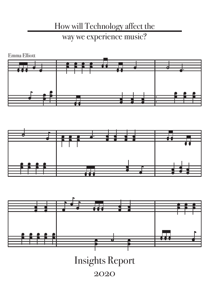#### How will Technology affect the way we experience music?







Insights Report

<sup>2020</sup>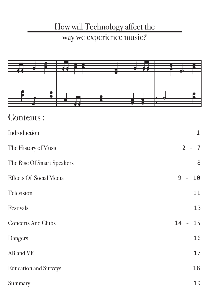#### How will Technology affect the

#### way we experience music?



| Contents: |  |
|-----------|--|
|           |  |
|           |  |

| Indroduction                   | $\mathbf 1$                                  |
|--------------------------------|----------------------------------------------|
| The History of Music           | $\overline{2}$<br>$\overline{7}$<br>$\equiv$ |
| The Rise Of Smart Speakers     | 8                                            |
| <b>Effects Of Social Media</b> | 9<br>10                                      |
| Television                     | 11                                           |
| Festivals                      | 13                                           |
| <b>Concerts And Clubs</b>      | $14 -$<br>15                                 |
| Dangers                        | 16                                           |
| AR and VR                      | 17                                           |
| <b>Education and Surveys</b>   | 18                                           |
| Summary                        | 19                                           |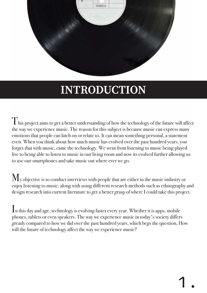

# **INTRODUCTION**

 $\sum$  his project aims to get a better understanding of how the technology of the future will affect the way we experience music. The reason for this subject is because music can express many emotions that people can latch on or relate to. It can mean something personal, a statement even. When you think about how much music has evolved over the past hundred years, you forget that with music, came the technology. We went from listening to music being played live to being able to listen to music in our living room and now its evolved further allowing us to use our smartphones and take music out where ever we go.

 $M_{v}$  objective is to conduct interviews with people that are either in the music industry or enjoy listening to music, along with using different research methods such as ethnography and design research into current literature to get a better grasp of where I could take this project.

In this day and age, technology is evolving faster every year. Whether it is apps, mobile phones, tablets or even speakers. The way we experience music in today's society differs greatly compared to how we did over the past hundred years, which begs the question, How will the future of technology affect the way we experience music?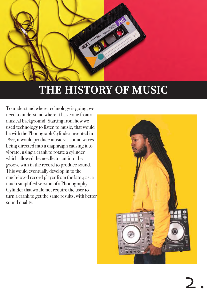

To understand where technology is going, we need to understand where it has come from a musical background. Starting from how we used technology to listen to music, that would be with the Phonograph Cylinder invented in 1877, it would produce music via sound waves being directed into a diaphragm causing it to vibrate, using a crank to rotate a cylinder which allowed the needle to cut into the groove with in the record to produce sound. This would eventually develop in to the much-loved record player from the late 40s, a much simplified version of a Phonography Cylinder that would not require the user to turn a crank to get the same results, with better sound quality.

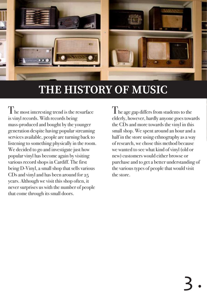

I he most interesting trend is the resurface is vinyl records. With records being mass-produced and bought by the younger generation despite having popular streaming services available, people are turning back to listening to something physically in the room. We decided to go and investigate just how popular vinyl has become again by visiting various record shops in Cardiff. The first being D-Vinyl, a small shop that sells various CDs and vinyl and has been around for 25 years. Although we visit this shop often, it never surprises us with the number of people that come through its small doors.

 $\int$  he age gap differs from students to the elderly, however, hardly anyone goes towards the CDs and more towards the vinyl in this small shop. We spent around an hour and a half in the store using ethnography as a way of research, we chose this method because we wanted to see what kind of vinyl (old or new) customers would either browse or purchase and to get a better understanding of the various types of people that would visit the store.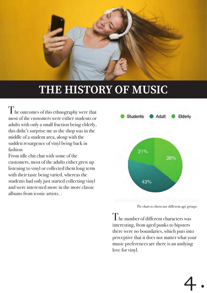

The outcomes of this ethnography were that most of the customers were either students or adults with only a small fraction being elderly, this didn't surprise me as the shop was in the middle of a student area, along with the sudden resurgence of vinyl being back in fashion

From idle chit chat with some of the customers, most of the adults either grew up listening to vinyl or collected them long term with their taste being varied, whereas the students had only just started collecting vinyl and were interested more in the more classic albums from iconic artists. .



Pie chart to showcase different age groups

 $\rm T$ he number of different characters was interesting, from aged punks to hipsters there were no boundaries, which puts into perceptive that it does not matter what your music preferences are there is an undying love for vinyl.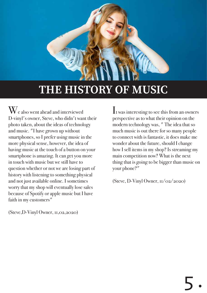

 $\mathbf{W}_{\text{e}}$  also went ahead and interviewed D-vinyl's owner, Steve, who didn't want their photo taken, about the ideas of technology and music. "I have grown up without smartphones, so I prefer using music in the more physical sense, however, the idea of having music at the touch of a button on your smartphone is amazing. It can get you more in touch with music but we still have to question whether or not we are losing part of history with listening to something physical and not just available online. I sometimes worry that my shop will eventually lose sales because of Spotify or apple music but I have faith in my customers"

It was interesting to see this from an owners perspective as to what their opinion on the modern technology was, " The idea that so much music is out there for so many people to connect with is fantastic, it does make me wonder about the future, should I change how I sell items in my shop? Is streaming my main competition now? What is the next thing that is going to be bigger than music on your phone?"

(Steve, D-Vinyl Owner, 11/02/2020)

(Steve,D-Vinyl Owner, 11,02,2020)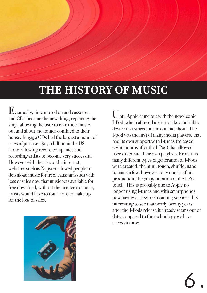Eventually, time moved on and cassettes and CDs became the new thing, replacing the vinyl, allowing the user to take their music out and about, no longer confined to their house. In 1999 CDs had the largest amount of sales of just over \$14.6 billion in the US alone, allowing record companies and recording artists to become very successful. However with the rise of the internet, websites such as Napster allowed people to download music for free, causing issues with loss of sales now that music was available for free download, without the licence to music, artists would have to tour more to make up for the loss of sales.



Until Apple came out with the now-iconic I-Pod, which allowed users to take a portable device that stored music out and about. The I-pod was the first of many media players, that had its own support with I-tunes (released eight months after the I-Pod) that allowed users to create their own playlists. From this many different types of generation of I-Pods were created, the mini, touch, shuffle, nano to name a few, however, only one is left in production, the 7th generation of the I-Pod touch. This is probably due to Apple no longer using I-tunes and with smartphones now having access to streaming services. It s interesting to see that nearly twenty years after the I-Pods release it already seems out of date compared to the technology we have access to now.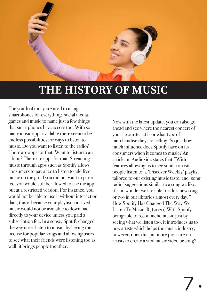

The youth of today are used to using smartphones for everything, social media, games and music to name just a few things that smartphones have access too. With so many music apps available there seem to be endless possibilities for ways to listen to music. Do you want to listen to the radio? There are apps for that. Want to listen to an album? There are apps for that. Streaming music through apps such as Spotify allows consumers to pay a fee to listen to add free music on the go, if you did not want to pay a fee, you would still be allowed to use the app but at a restricted version. For instance, you would not be able to use it without internet or data, this is because your playlists or saved music would not be available to download directly to your device unless you paid a subscription fee. In a sense, Spotify changed the way users listen to music, by having the license for popular songs and allowing users to see what their friends were listening too as well, it brings people together.

Now with the latest update, you can also go ahead and see where the nearest concert of your favourite act is or what type of merchandise they are selling. So just how much influence does Spotify have on its consumers when it comes to music? An article on Audioxide states that "With features allowing us to see similar artists people listen to, a 'Discover Weekly' playlist tailored to our existing music taste, and 'song radio' suggestions similar to a song we like, it's no wonder we are able to add a new song or two in our libraries almost every day." How Spotify Has Changed The Way We Listen To Music. R, (2020) With Spotify being able to recommend music just by seeing what we listen too, it introduces us to new artists which helps the music industry, however, does this put more pressure on artists to create a viral music video or song?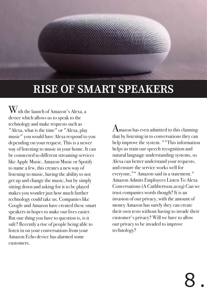# **RISE OF SMART SPEAKERS**

With the launch of Amazon's Alexa, a device which allows us to speak to the technology and make requests such as "Alexa, what is the time" or "Alexa, play music" you would have Alexa respond to you depending on your request. This is a newer way of listening to music in your home. It can be connected to different streaming services like Apple Music, Amazon Music or Spotify to name a few, this creates a new way of listening to music, having the ability to not get up and change the music, but by simply sitting down and asking for it to be played makes you wonder just how much further technology could take us. Companies like Google and Amazon have created these smart speakers in hopes to make our lives easier. But one thing you have to question is, is it safe? Recently a rise of people being able to listen in on your conversations from your Amazon Echo device has alarmed some customers.

Amazon has even admitted to this claiming that by listening in to conversations they can help improve the system. ""This information helps us train our speech recognition and natural language understanding systems, so Alexa can better understand your requests, and ensure the service works well for everyone,"" Amazon said in a statement." Amazon Admits Employees Listen To Alexa Conversations (A Cuthbertson,2019) Can we trust companies words though? It is an invasion of our privacy, with the amount of money Amazon has surely they can create their own tests without having to invade their customer's privacy? Will we have to allow our privacy to be invaded to improve technology?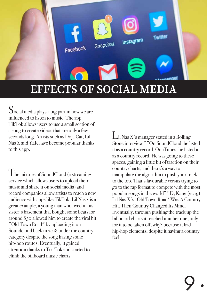

Social media plays a big part in how we are influenced to listen to music. The app TikTok allows users to use a small section of a song to create videos that are only a few seconds long. Artists such as Doja Cat, Lil Nas X and Y2K have become popular thanks to this app.

The mixture of SoundCloud (a streaming service which allows users to upload their music and share it on social media) and record companies allow artists to reach a new audience with apps like TikTok. Lil Nas x is a great example, a young man who lived in his sister's basement that bought some beats for around \$30 allowed him to create the viral hit "Old Town Road" by uploading it on Soundcloud back in 2018 under the country category despite the song having some hip-hop routes. Eventually, it gained attention thanks to Tik-Tok and started to climb the billboard music charts

Lil Nas X's manager stated in a Rolling Stone interview ""On SoundCloud, he listed it as a country record, On iTunes, he listed it as a country record. He was going to these spaces, gaining a little bit of traction on their country charts, and there's a way to manipulate the algorithm to push your track to the top. That's favourable versus trying to go to the rap format to compete with the most popular songs in the world"" D, Kang (2019) Lil Nas X's 'Old Town Road' Was A Country Hit. Then Country Changed Its Mind. Eventually, through pushing the track up the billboard charts it reached number one, only for it to be taken off, why? because it had hip-hop elements, despite it having a country feel.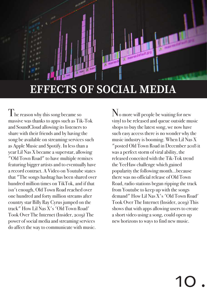## **EFFECTS OF SOCIAL MEDIA**

The reason why this song became so massive was thanks to apps such as Tik-Tok and SoundCloud allowing its listeners to share with their friends and by having the song be available on streaming services such as Apple Music and Spotify. In less than a year Lil Nas X became a superstar, allowing "Old Town Road" to have multiple remixes featuring bigger artists and to eventually have a record contract. A Video on Youtube states that "The songs hashtag has been shared over hundred million times on TikTok, and if that isn't enough, Old Town Road reached over one hundred and forty million streams after country star Billy Ray Cyrus jumped on the track" How Lil Nas X's 'Old Town Road' Took Over The Internet (Insider, 2019) The power of social media and streaming services do affect the way to communicate with music.

No more will people be waiting for new vinyl to be released and queue outside music shops to buy the latest song, we now have such easy access there is no wonder why the music industry is booming. When Lil Nas X "posted Old Town Road in December 2018 it was a perfect storm of viral ability, the released conceited with the Tik-Tok trend the YeeHaw challenge which gained popularity the following month...because there was no official release of Old Town Road, radio stations began ripping the track from Youtube to keep up with the songs demand" How Lil Nas X's 'Old Town Road' Took Over The Internet (Insider, 2019) This shows that with apps allowing users to create a short video using a song, could open up new horizons to ways to find new music.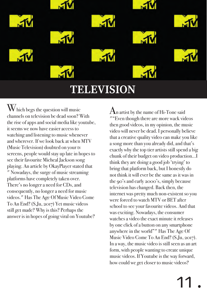

## **TELEVISION**

 $\rm W$  hich begs the question will music channels on television be dead soon? With the rise of apps and social media like youtube, it seems we now have easier access to watching and listening to music whenever and wherever. If we look back at when MTV (Music Television) doubted on your tv screens, people would stay up late in hopes to see their favourite Micheal Jackson song playing. An article by OkayPlayer stated that " Nowadays, the surge of music streaming platforms have completely taken over. There's no longer a need for CDs, and consequently, no longer a need for music videos." Has The Age Of Music Video Come To An End? (S,Ju, 2017) Yet music videos still get made? Why is this? Perhaps the answer is in hopes of going viral on Youtube?

 ${\rm A}$ n artist by the name of Hi-Tone said ""Even though there are more wack videos then good videos, in my opinion, the music video will never be dead. I personally believe that a creative quality video can make you like a song more than you already did, and that's exactly why the top tier artists still spend a big chunk of their budget on video production...I think they are doing a good job 'trying' to bring that platform back, but I honestly do not think it will ever be the same as it was in the 90's and early 2000's, simply because television has changed. Back then, the internet was pretty much non-existent so you were forced to watch MTV or BET after school to see your favourite videos. And that was exciting. Nowadays, the consumer watches a video the exact minute it releases by one click of a button on any smartphone anywhere in the world"" Has The Age Of Music Video Come To An End? (S,Ju, 2017). In a way, the music video is still seen as an art form, with people wanting to create unique music videos. If Youtube is the way forward, how could we get closer to music videos?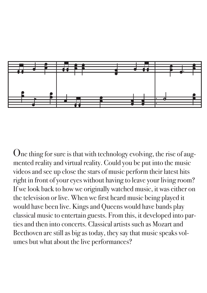

One thing for sure is that with technology evolving, the rise of augmented reality and virtual reality. Could you be put into the music videos and see up close the stars of music perform their latest hits right in front of your eyes without having to leave your living room? If we look back to how we originally watched music, it was either on the television or live. When we first heard music being played it would have been live. Kings and Queens would have bands play classical music to entertain guests. From this, it developed into parties and then into concerts. Classical artists such as Mozart and Beethoven are still as big as today, they say that music speaks volumes but what about the live performances?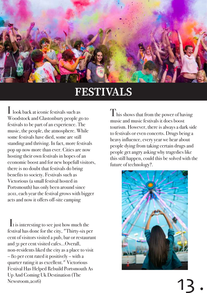

# **FESTIVALS**

I look back at iconic festivals such as Woodstock and Glastonbury people go to festivals to be part of an experience. The music, the people, the atmosphere. While some festivals have died, some are still standing and thriving. In fact, more festivals pop up now more than ever. Cities are now hosting their own festivals in hopes of an economic boost and for new hopefull visitors, there is no doubt that festivals do bring benefits to society. Festivals such as Victorious (a small festival hosted in Portsmouth) has only been around since 2011, each year the festival grows with bigger acts and now it offers off-site camping

 It is interesting to see just how much the festival has done for the city, "Thirty-six per cent of visitors visited a pub, bar or restaurant and 31 per cent visited cafes...Overall, non-residents liked the city as a place to visit – 80 per cent rated it positively – with a quarter rating it as excellent." Victorious Festival Has Helped Rebuild Portsmouth As Up And Coming Uk Destination (The Newsroom,2016)

 $T$ his shows that from the power of having music and music festivals it does boost tourism. However, there is always a dark side to festivals or even concerts. Drugs being a heavy influence, every year we hear about people dying from taking certain drugs and people get angry asking why tragedies like this still happen, could this be solved with the future of technology?.

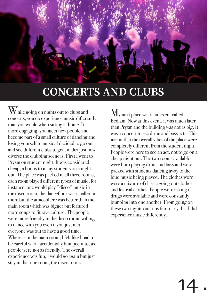# **CONCERTS AND CLUBS**

W hile going on nights out to clubs and concerts, you do experience music differently than you would when sitting at home. It is more engaging, you meet new people and become part of a small culture of dancing and losing yourself to music. I decided to go out and see different clubs to get an idea just how diverse the clubbing scene is. First I went to Pryzm on student night. It was considered cheap, a bonus to many students on a night out. The place was packed in all three rooms, each room played different types of music, for instance, one would play "disco" music in the disco room, the dancefloor was smaller in there but the atmosphere was better than the main room which was bigger but featured more songs to fit rave culture. The people were more friendly in the disco room, willing to dance with you even if you just met, everyone was out to have a good time. Whereas in the main room, I felt like I had to be careful who I accidentally bumped into, as people were not as friendly. The overall experience was fun, I would go again but just stay in that one room, the disco room.

 $\rm\,M_{\rm V}$  next place was at an event called Bedlam. Now at this event, it was much later than Pryzm and the building was not as big. It was a concert to see drum and bass acts. This meant that the overall vibes of the place were completely different from the student night. People were here to see an act, not to go on a cheap night out. The two rooms available were both playing drum and bass and were packed with students dancing away to the loud music being played. The clothes worn were a mixture of classic going out clothes and festival clothes. People were asking if drugs were available and were constantly bumping into one another. From going on these two nights out, it is fair to say that I did experience music differently.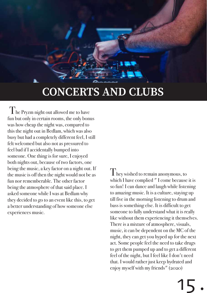# **CONCERTS AND CLUBS**

 The Pryzm night out allowed me to have fun but only in certain rooms, the only bonus was how cheap the night was, compared to this the night out in Bedlam, which was also busy but had a completely different feel, I still felt welcomed but also not as pressured to feel bad if I accidentally bumped into someone. One thing is for sure, I enjoyed both nights out, because of two factors, one being the music, a key factor on a night out. If the music is off then the night would not be as fun nor rememberable. The other factor being the atmosphere of that said place. I asked someone while I was at Bedlam why they decided to go to an event like this, to get a better understanding of how someone else experiences music.

I hey wished to remain anonymous, to which I have complied " I come because it is so fun! I can dance and laugh while listening to amazing music. It is a culture, staying up till five in the morning listening to drum and bass is something else. It is difficult to get someone to fully understand what it is really like without them experiencing it themselves. There is a mixture of atmosphere, visuals, music, it can be dependent on the MC of the night, they can get you hyped up for the next act. Some people feel the need to take drugs to get them pumped up and to get a different feel of the night, but I feel like I don't need that. I would rather just keep hydrated and enjoy myself with my friends" (2020)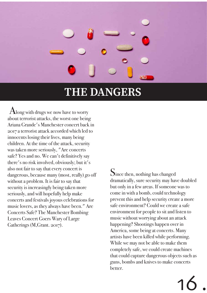# THE DANGERS

Along with drugs we now have to worry about terrorist attacks, the worst one being Ariana Grande's Manchester concert back in 2017 a terrorist attack accorded which led to innocents losing their lives, many being children. At the time of the attack, security was taken more seriously, "Are concerts safe? Yes and no. We can't definitively say there's no risk involved, obviously; but it's also not fair to say that every concert is dangerous, because many (most, really) go off without a problem. It is fair to say that security is increasingly being taken more seriously, and will hopefully help make concerts and festivals joyous celebrations for music lovers, as they always have been." Are Concerts Safe? The Manchester Bombing Leaves Concert Goers Wary of Large Gatherings (M,Grant. 2017).

Since then, nothing has changed dramatically, sure security may have doubled but only in a few areas. If someone was to come in with a bomb, could technology prevent this and help security create a more safe environment? Could we create a safe environment for people to sit and listen to music without worrying about an attack happening? Shootings happen over in America, some being at concerts. Many artists have been killed while performing. While we may not be able to make them completely safe, we could create machines that could capture dangerous objects such as guns, bombs and knives to make concerts better.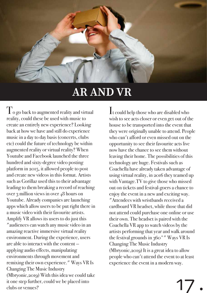

# **AR AND VR**

 $\int_{0}^{1}$  o go back to augmented reality and virtual reality, could these be used with music to create an entirely new experience? Looking back at how we have and still do experience music in a day to day basis (concerts, clubs etc) could the future of technology be within augmented reality or virtual reality? When Youtube and Facebook launched the three hundred and sixty-degree video posting platform in 2015, it allowed people to post and create new videos in this format. Artists such as Gorillaz used this to their advantage leading to them breaking a record of reaching over 3 million views in over 48 hours on Youtube. Already companies are launching apps which allow users to be put right there in a music video with their favourite artists. Amplify VR allows its users to do just this "audiences can watch any music video in an amazing reactive immersive virtual reality environment. During the experience, users are able to interact with the content applying audio effects, manipulating environments through movement and remixing their own experience." Ways VR Is Changing The Music Industry (Mbryonic,2019) With this idea we could take it one step further, could we be placed into clubs or venues?

It could help those who are disabled who wish to see acts closer or even get out of the house to be transported into the event that they were originally unable to attend. People who can't afford or even missed out on the opportunity to see their favourite acts live now have the chance to see them without leaving their home. The possibilities of this technology are huge. Festivals such as Coachella have already taken advantage of using virtual reality, in 2016 they teamed up with Vantage.TV to give those who missed out on tickets and festival-goers a chance to enjoy the event in a new and exciting way. "Attendees with wristbands received a cardboard VR headset, while those that did not attend could purchase one online or use their own. The headset is paired with the Coachella VR app to watch videos by the artists performing that year and walk around the festival grounds in 360°" Ways VR Is Changing The Music Industry (Mbryonic,2019) It is a great idea to allow people who can't attend the event to at least experience the event in a modern way.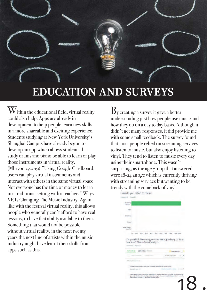

## **EDUCATION AND SURVEYS**

 $\mathbf{W}$ ithin the educational field, virtual reality could also help. Apps are already in development to help people learn new skills in a more shareable and exciting experience. Students studying at New York University's Shanghai Campus have already begun to develop an app which allows students that study drums and piano be able to learn or play those instruments in virtual reality. (Mbryonic,2019) "Using Google Cardboard, users can play virtual instruments and interact with others in the same virtual space. Not everyone has the time or money to learn in a traditional setting with a teacher." Ways VR Is Changing The Music Industry. Again like with the festival virtual reality, this allows people who generally can't afford to have real lessons, to have that ability available to them. Something that would not be possible without virtual reality, in the next twenty years the next line of artists within the music industry might have learnt their skills from apps such as this.

 $\mathbf{B}_{\text{v}}$  creating a survey it gave a better understanding just how people use music and how they do on a day to day basis. Although it didn't get many responses, it did provide me with some small feedback. The survey found that most people relied on streaming services to listen to music, but also enjoy listening to vinyl. They tend to listen to music every day using their smartphone. This wasn't surprising, as the age group that answered were 18-24 an age which is currently thriving with streaming services but wanting to be trendy with the comeback of vinyl.

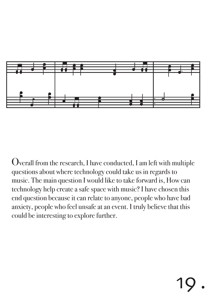

Overall from the research, I have conducted, I am left with multiple questions about where technology could take us in regards to music. The main question I would like to take forward is, How can technology help create a safe space with music? I have chosen this end question because it can relate to anyone, people who have bad anxiety, people who feel unsafe at an event. I truly believe that this could be interesting to explore further.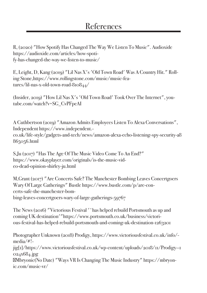R, (2020) "How Spotify Has Changed The Way We Listen To Music". Audioxide https://audioxide.com/articles/how-spotify-has-changed-the-way-we-listen-to-music/

E, Leight, D, Kang (2019) "Lil Nas X's 'Old Town Road' Was A Country Hit." Rolling Stone,https://www.rollingstone.com/music/music-features/lil-nas-x-old-town-road-810844/

(Insider, 2019) "How Lil Nas X's 'Old Town Road' Took Over The Internet", youtube.com/watch?v=SG\_CvPFpeAI

A Cuthbertson (2019) "Amazon Admits Employees Listen To Alexa Conversations", Independent https://www.independent. co.uk/life-style/gadgets-and-tech/news/amazon-alexa-echo-listening-spy-security-a8 865056.html

S,Ju (2017) "Has The Age Of The Music Video Come To An End?" https://www.okayplayer.com/originals/is-the-music-video-dead-opinion-shirley-ju.html

M,Grant (2017) "Are Concerts Safe? The Manchester Bombing Leaves Concertgoers Wary Of Large Gatherings" Bustle https://www.bustle.com/p/are-concerts-safe-the-manchester-bombing-leaves-concertgoers-wary-of-large-gatherings-59767

The News (2016) "Victorious Festival '~has helped rebuild Portsmouth as up and coming UK destination'"https://www.portsmouth.co.uk/business/victorious-festival-has-helped-rebuild-portsmouth-and-coming-uk-destination-1263201

Photographer Unknown (2018) Prodigy, https://www.victoriousfestival.co.uk/info/ media/#!-

jig[1]/https://www.victoriousfestival.co.uk/wp-content/uploads/2018/11/Prodigy--1 024x684.jpg

Mbryonic(No Date) "Ways VR Is Changing The Music Industry" https://mbryonic.com/music-vr/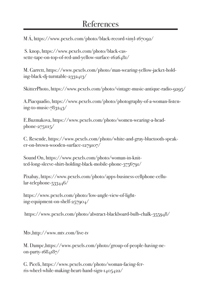M Á, https://www.pexels.com/photo/black-record-vinyl-167092/

 S. knop, https://www.pexels.com/photo/black-cassette-tape-on-top-of-red-and-yellow-surface-1626481/

M. Garrett, https://www.pexels.com/photo/man-wearing-yellow-jacket-holding-black-dj-turntable-2332413/

SkitterPhoto, https://www.pexels.com/photo/vintage-music-antique-radio-9295/

A.Piacquadio, https://www.pexels.com/photo/photography-of-a-woman-listening-to-music-783243/

E.Buzmakova, https://www.pexels.com/photo/women-wearing-a-head $phone-275III5/$ 

C. Resende, https://www.pexels.com/photo/white-and-gray-bluetooth-speaker-on-brown-wooden-surface-1279107/

Sound On, https://www.pexels.com/photo/woman-in-knitted-long-sleeve-shirt-holding-black-mobile-phone-3756791/

Pixabay, https://www.pexels.com/photo/apps-business-cellphone-cellular-telephone-533446/

https://www.pexels.com/photo/low-angle-view-of-lighting-equipment-on-shelf-257904/

https://www.pexels.com/photo/abstract-blackboard-bulb-chalk-355948/

Mtv,http://www.mtv.com/live-tv

M. Dampc,https://www.pexels.com/photo/group-of-people-having-neon-party- $1684187/$ 

G. Piceli, https://www.pexels.com/photo/woman-facing-ferris-wheel-while-making-heart-hand-sign-1405422/